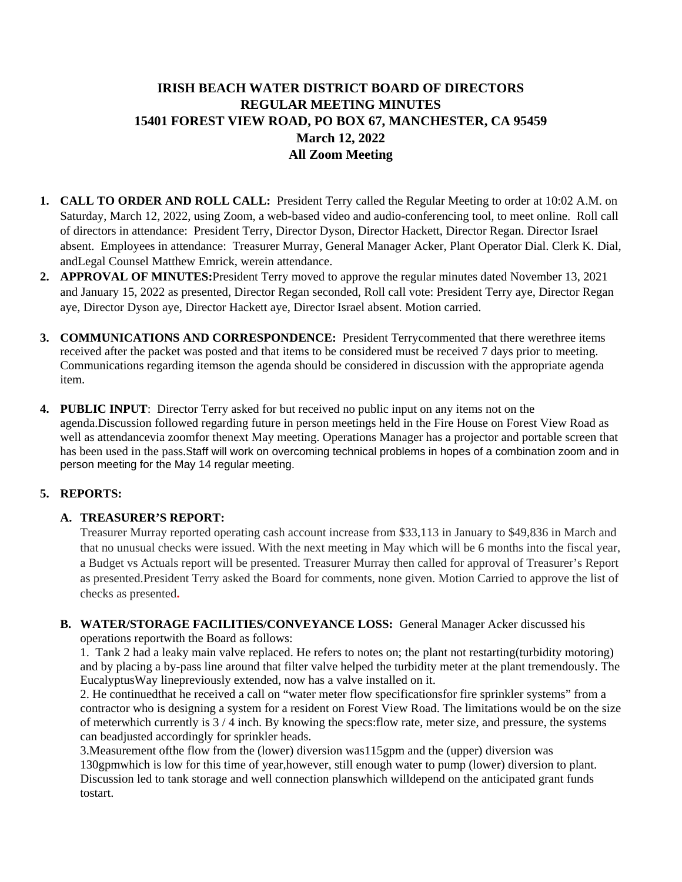# **IRISH BEACH WATER DISTRICT BOARD OF DIRECTORS REGULAR MEETING MINUTES 15401 FOREST VIEW ROAD, PO BOX 67, MANCHESTER, CA 95459 March 12, 2022 All Zoom Meeting**

- **1. CALL TO ORDER AND ROLL CALL:** President Terry called the Regular Meeting to order at 10:02 A.M. on Saturday, March 12, 2022, using Zoom, a web-based video and audio-conferencing tool, to meet online. Roll call of directors in attendance: President Terry, Director Dyson, Director Hackett, Director Regan. Director Israel absent. Employees in attendance: Treasurer Murray, General Manager Acker, Plant Operator Dial. Clerk K. Dial, andLegal Counsel Matthew Emrick, werein attendance.
- **2. APPROVAL OF MINUTES:**President Terry moved to approve the regular minutes dated November 13, 2021 and January 15, 2022 as presented, Director Regan seconded, Roll call vote: President Terry aye, Director Regan aye, Director Dyson aye, Director Hackett aye, Director Israel absent. Motion carried.
- **3. COMMUNICATIONS AND CORRESPONDENCE:** President Terrycommented that there werethree items received after the packet was posted and that items to be considered must be received 7 days prior to meeting. Communications regarding itemson the agenda should be considered in discussion with the appropriate agenda item.
- **4. PUBLIC INPUT**: Director Terry asked for but received no public input on any items not on the agenda.Discussion followed regarding future in person meetings held in the Fire House on Forest View Road as well as attendancevia zoomfor thenext May meeting. Operations Manager has a projector and portable screen that has been used in the pass.Staff will work on overcoming technical problems in hopes of a combination zoom and in person meeting for the May 14 regular meeting.

# **5. REPORTS:**

# **A. TREASURER'S REPORT:**

Treasurer Murray reported operating cash account increase from \$33,113 in January to \$49,836 in March and that no unusual checks were issued. With the next meeting in May which will be 6 months into the fiscal year, a Budget vs Actuals report will be presented. Treasurer Murray then called for approval of Treasurer's Report as presented.President Terry asked the Board for comments, none given. Motion Carried to approve the list of checks as presented**.** 

# **B. WATER/STORAGE FACILITIES/CONVEYANCE LOSS:** General Manager Acker discussed his

operations reportwith the Board as follows:

1. Tank 2 had a leaky main valve replaced. He refers to notes on; the plant not restarting(turbidity motoring) and by placing a by-pass line around that filter valve helped the turbidity meter at the plant tremendously. The EucalyptusWay linepreviously extended, now has a valve installed on it.

2. He continuedthat he received a call on "water meter flow specificationsfor fire sprinkler systems" from a contractor who is designing a system for a resident on Forest View Road. The limitations would be on the size of meterwhich currently is 3 / 4 inch. By knowing the specs:flow rate, meter size, and pressure, the systems can beadjusted accordingly for sprinkler heads.

3.Measurement ofthe flow from the (lower) diversion was115gpm and the (upper) diversion was 130gpmwhich is low for this time of year,however, still enough water to pump (lower) diversion to plant. Discussion led to tank storage and well connection planswhich willdepend on the anticipated grant funds tostart.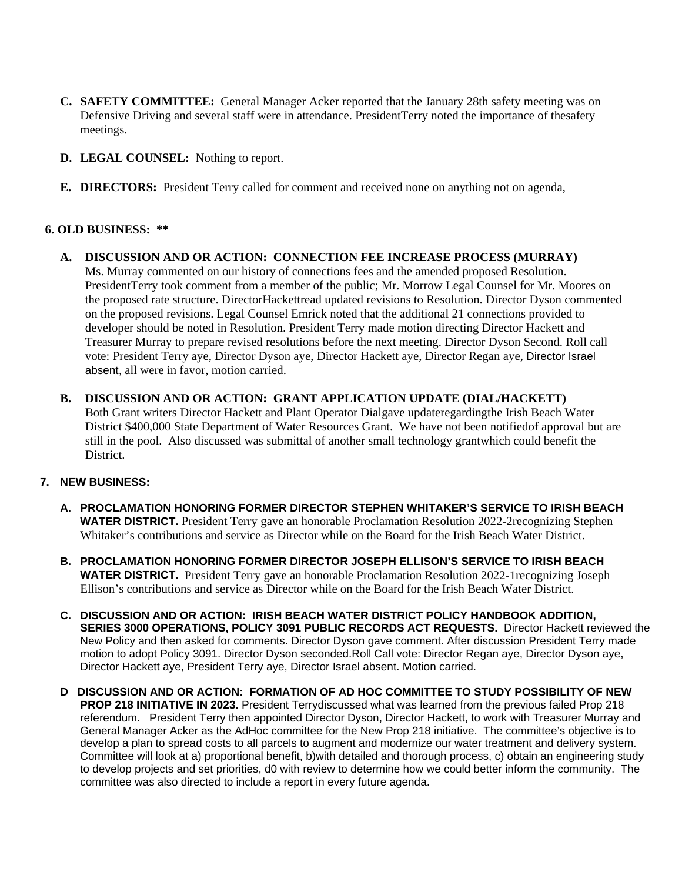- **C. SAFETY COMMITTEE:** General Manager Acker reported that the January 28th safety meeting was on Defensive Driving and several staff were in attendance. PresidentTerry noted the importance of thesafety meetings.
- **D. LEGAL COUNSEL:** Nothing to report.
- **E. DIRECTORS:** President Terry called for comment and received none on anything not on agenda,

### **6. OLD BUSINESS: \*\***

- **A. DISCUSSION AND OR ACTION: CONNECTION FEE INCREASE PROCESS (MURRAY)** Ms. Murray commented on our history of connections fees and the amended proposed Resolution. PresidentTerry took comment from a member of the public; Mr. Morrow Legal Counsel for Mr. Moores on the proposed rate structure. DirectorHackettread updated revisions to Resolution. Director Dyson commented on the proposed revisions. Legal Counsel Emrick noted that the additional 21 connections provided to developer should be noted in Resolution. President Terry made motion directing Director Hackett and Treasurer Murray to prepare revised resolutions before the next meeting. Director Dyson Second. Roll call vote: President Terry aye, Director Dyson aye, Director Hackett aye, Director Regan aye, Director Israel absent, all were in favor, motion carried.
- **B. DISCUSSION AND OR ACTION: GRANT APPLICATION UPDATE (DIAL/HACKETT)** Both Grant writers Director Hackett and Plant Operator Dialgave updateregardingthe Irish Beach Water District \$400,000 State Department of Water Resources Grant. We have not been notifiedof approval but are still in the pool. Also discussed was submittal of another small technology grantwhich could benefit the District.

### **7. NEW BUSINESS:**

- **A. PROCLAMATION HONORING FORMER DIRECTOR STEPHEN WHITAKER'S SERVICE TO IRISH BEACH WATER DISTRICT.** President Terry gave an honorable Proclamation Resolution 2022-2recognizing Stephen Whitaker's contributions and service as Director while on the Board for the Irish Beach Water District.
- **B. PROCLAMATION HONORING FORMER DIRECTOR JOSEPH ELLISON'S SERVICE TO IRISH BEACH WATER DISTRICT.** President Terry gave an honorable Proclamation Resolution 2022-1recognizing Joseph Ellison's contributions and service as Director while on the Board for the Irish Beach Water District.
- **C. DISCUSSION AND OR ACTION: IRISH BEACH WATER DISTRICT POLICY HANDBOOK ADDITION, SERIES 3000 OPERATIONS, POLICY 3091 PUBLIC RECORDS ACT REQUESTS.** Director Hackett reviewed the New Policy and then asked for comments. Director Dyson gave comment. After discussion President Terry made motion to adopt Policy 3091. Director Dyson seconded.Roll Call vote: Director Regan aye, Director Dyson aye, Director Hackett aye, President Terry aye, Director Israel absent. Motion carried.
- **D DISCUSSION AND OR ACTION: FORMATION OF AD HOC COMMITTEE TO STUDY POSSIBILITY OF NEW PROP 218 INITIATIVE IN 2023.** President Terrydiscussed what was learned from the previous failed Prop 218 referendum. President Terry then appointed Director Dyson, Director Hackett, to work with Treasurer Murray and General Manager Acker as the AdHoc committee for the New Prop 218 initiative. The committee's objective is to develop a plan to spread costs to all parcels to augment and modernize our water treatment and delivery system. Committee will look at a) proportional benefit, b)with detailed and thorough process, c) obtain an engineering study to develop projects and set priorities, d0 with review to determine how we could better inform the community. The committee was also directed to include a report in every future agenda.